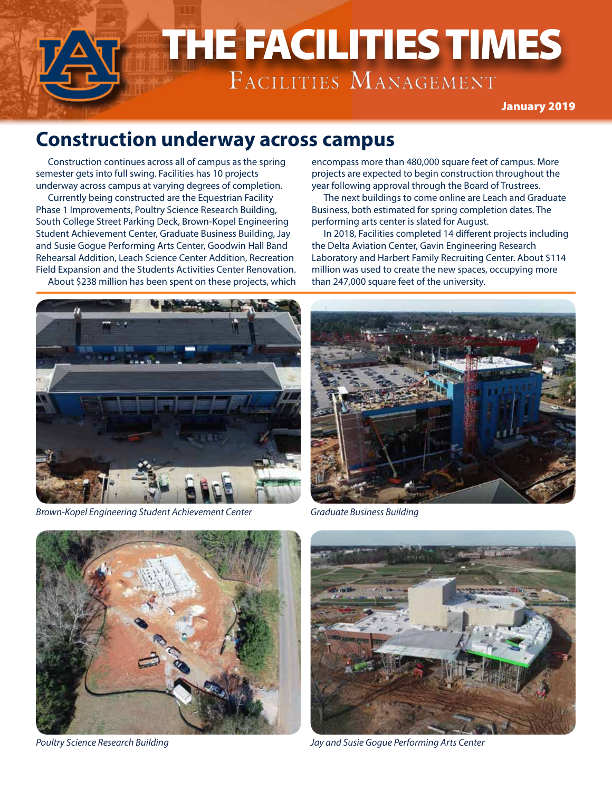

#### **Construction underway across campus**

Construction continues across all of campus as the spring semester gets into full swing. Facilities has 10 projects underway across campus at varying degrees of completion.

Currently being constructed are the Equestrian Facility Phase 1 Improvements, Poultry Science Research Building, South College Street Parking Deck, Brown-Kopel Engineering Student Achievement Center, Graduate Business Building, Jay and Susie Gogue Performing Arts Center, Goodwin Hall Band Rehearsal Addition, Leach Science Center Addition, Recreation Field Expansion and the Students Activities Center Renovation. About \$238 million has been spent on these projects, which encompass more than 480,000 square feet of campus. More projects are expected to begin construction throughout the year following approval through the Board of Trustrees.

The next buildings to come online are Leach and Graduate Business, both estimated for spring completion dates. The performing arts center is slated for August.

In 2018, Facilities completed 14 different projects including the Delta Aviation Center, Gavin Engineering Research Laboratory and Harbert Family Recruiting Center. About \$114 million was used to create the new spaces, occupying more than 247,000 square feet of the university.



*Brown-Kopel Engineering Student Achievement Center Graduate Business Building*







*Poultry Science Research Building Jay and Susie Gogue Performing Arts Center*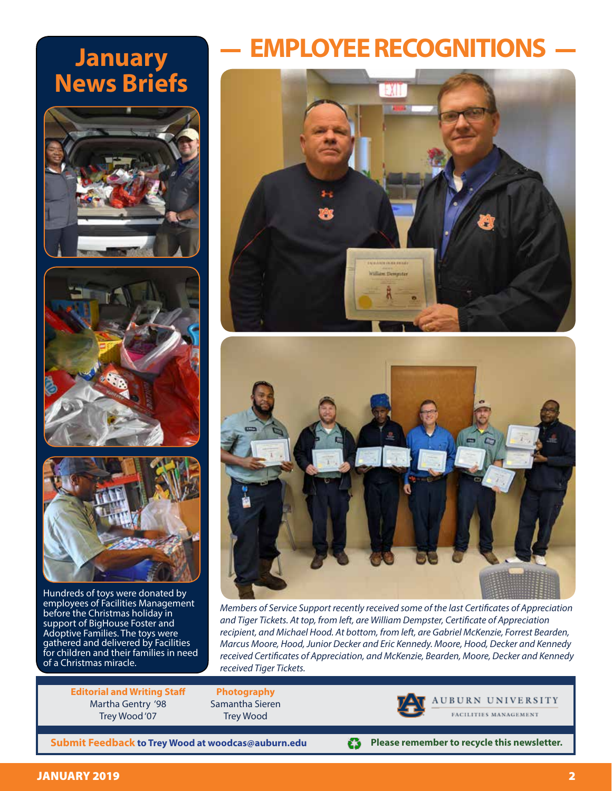# **January News Briefs**







Hundreds of toys were donated by employees of Facilities Management before the Christmas holiday in support of BigHouse Foster and Adoptive Families. The toys were gathered and delivered by Facilities for children and their families in need of a Christmas miracle.

**EMPLOYEE RECOGNITIONS**





*Members of Service Support recently received some of the last Certificates of Appreciation and Tiger Tickets. At top, from left, are William Dempster, Certificate of Appreciation recipient, and Michael Hood. At bottom, from left, are Gabriel McKenzie, Forrest Bearden, Marcus Moore, Hood, Junior Decker and Eric Kennedy. Moore, Hood, Decker and Kennedy received Certificates of Appreciation, and McKenzie, Bearden, Moore, Decker and Kennedy received Tiger Tickets.*

o

**Editorial and Writing Staff** Martha Gentry '98 Trey Wood '07

**Photography** Samantha Sieren Trey Wood



**Please remember to recycle this newsletter.**

**AUBURN UNIVERSITY** 

**Submit Feedback to Trey Wood at woodcas@auburn.edu**

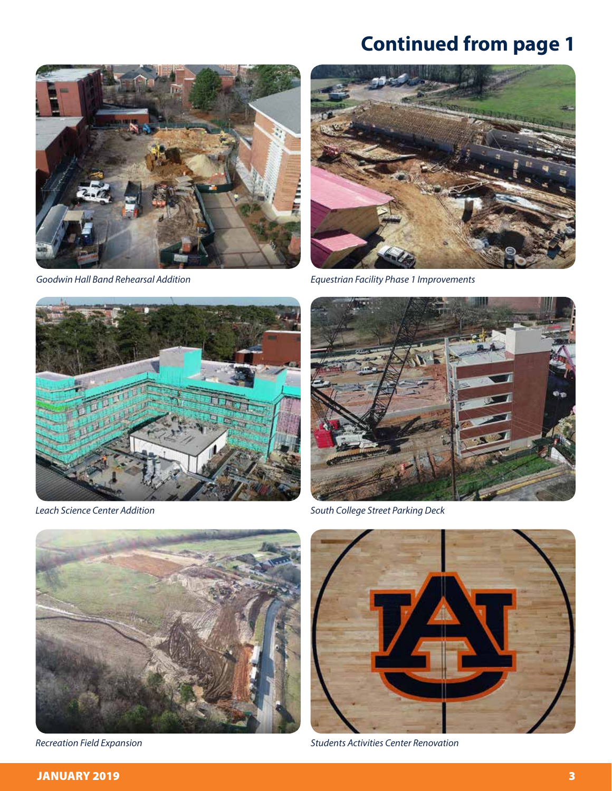## **Continued from page 1**





*Goodwin Hall Band Rehearsal Addition Equestrian Facility Phase 1 Improvements*





*Leach Science Center Addition South College Street Parking Deck*





*Recreation Field Expansion Students Activities Center Renovation*

#### JANUARY 2019 3